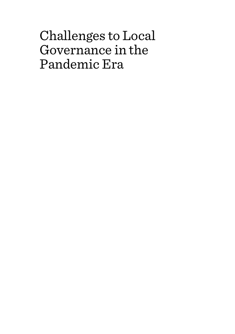# Challenges to Local Governance in the Pandemic Era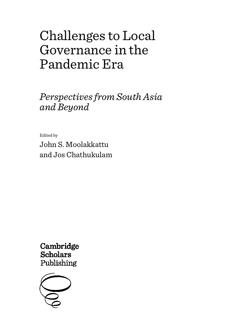# Challenges to Local Governance in the Pandemic Era

*Perspectives from South Asia and Beyond*

Edited by

John S. Moolakkattu and Jos Chathukulam

Cambridge **Scholars** Publishing

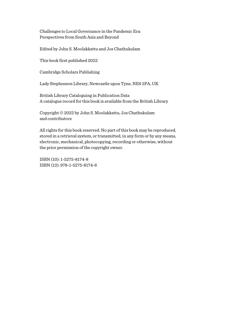Challenges to Local Governance in the Pandemic Era: Perspectives from South Asia and Beyond

Edited by John S. Moolakkattu and Jos Chathukulam

This book first published 2022

Cambridge Scholars Publishing

Lady Stephenson Library, Newcastle upon Tyne, NE6 2PA, UK

British Library Cataloguing in Publication Data A catalogue record for this book is available from the British Library

Copyright © 2022 by John S. Moolakkattu, Jos Chathukulam and contributors

All rights for this book reserved. No part of this book may be reproduced, stored in a retrieval system, or transmitted, in any form or by any means, electronic, mechanical, photocopying, recording or otherwise, without the prior permission of the copyright owner.

ISBN (10): 1-5275-8174-8 ISBN (13): 978-1-5275-8174-6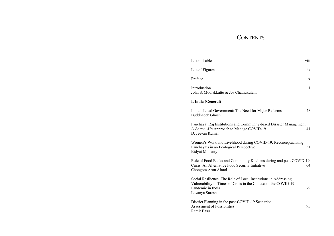# CONTENTS

| John S. Moolakkattu & Jos Chathukulam                                                                                                                |
|------------------------------------------------------------------------------------------------------------------------------------------------------|
| I. India (General)                                                                                                                                   |
| Buddhadeb Ghosh                                                                                                                                      |
| Panchayat Raj Institutions and Community-based Disaster Management:<br>D. Jeevan Kumar                                                               |
| Women's Work and Livelihood during COVID-19: Reconceptualising<br><b>Bidyut Mohanty</b>                                                              |
| Role of Food Banks and Community Kitchens during and post-COVID-19<br>Chongom Aron Aimol                                                             |
| Social Resilience: The Role of Local Institutions in Addressing<br>Vulnerability in Times of Crisis in the Context of the COVID-19<br>Lavanya Suresh |
| District Planning in the post-COVID-19 Scenario:<br>Ramit Basu                                                                                       |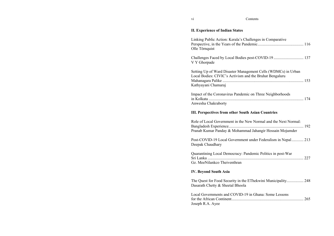### **II. Experience of Indian States**

| Linking Public Action: Kerala's Challenges in Comparative<br>Olle Törnquist                                                                     |
|-------------------------------------------------------------------------------------------------------------------------------------------------|
| Challenges Faced by Local Bodies post-COVID-19 137<br>V Y Ghorpade                                                                              |
| Setting Up of Ward Disaster Management Cells (WDMCs) in Urban<br>Local Bodies: CIVIC's Activism and the Bruhat Bengaluru<br>Kathyayani Chamaraj |
| Impact of the Coronavirus Pandemic on Three Neighborhoods<br>Anwesha Chakraborty                                                                |
| <b>III. Perspectives from other South Asian Countries</b>                                                                                       |
| Role of Local Government in the New Normal and the Next Normal:<br>192<br>Pranab Kumar Panday & Mohammad Jahangir Hossain Mojumder              |
| Post-COVID-19 Local Government under Federalism in Nepal 213<br>Deepak Chaudhary                                                                |
| Quarantining Local Democracy: Pandemic Politics in post-War<br>Gz. MeeNilankco Theiventhran                                                     |
| <b>IV. Beyond South Asia</b>                                                                                                                    |
| The Quest for Food Security in the EThekwini Municipality 248<br>Dasarath Chetty & Sheetal Bhoola                                               |
| Local Governments and COVID-19 in Ghana: Some Lessons<br>Joseph R.A. Ayee                                                                       |
|                                                                                                                                                 |

vi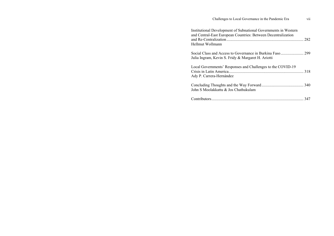| Challenges to Local Governance in the Pandemic Era                                                                               | vii |
|----------------------------------------------------------------------------------------------------------------------------------|-----|
| Institutional Development of Subnational Governments in Western<br>and Central-East European Countries: Between Decentralization |     |
| Hellmut Wollmann                                                                                                                 |     |
| Julia Ingram, Kevin S. Fridy & Margaret H. Ariotti                                                                               |     |
| Local Governments' Responses and Challenges to the COVID-19<br>Ady P. Carrera-Hernández                                          |     |
| John S Moolakkattu & Jos Chathukulam                                                                                             |     |
|                                                                                                                                  |     |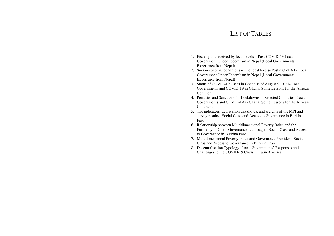# LIST OF TABLES

- 1. Fiscal grant received by local levels Post-COVID-19 Local Government Under Federalism in Nepal (Local Governments' Experience from Nepal)
- 2. Socio-economic conditions of the local levels- Post-COVID-19 Local Government Under Federalism in Nepal (Local Governments' Experience from Nepal)
- 3. Status of COVID-19 Cases in Ghana as of August 9, 2021- Local Governments and COVID-19 in Ghana: Some Lessons for the African Continent
- 4. Penalties and Sanctions for Lockdowns in Selected Countries -Local Governments and COVID-19 in Ghana: Some Lessons for the African Continent
- 5. The indicators, deprivation thresholds, and weights of the MPI and survey results - Social Class and Access to Governance in Burkina Faso
- 6. Relationship between Multidimensional Poverty Index and the Formality of One's Governance Landscape - Social Class and Access to Governance in Burkina Faso
- 7. Multidimensional Poverty Index and Governance Providers- Social Class and Access to Governance in Burkina Faso
- 8. Decentralisation Typology- Local Governments' Responses and Challenges to the COVID-19 Crisis in Latin America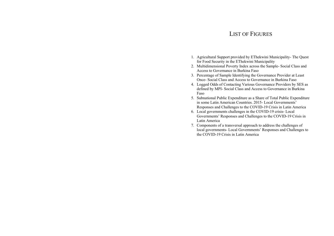# LIST OF FIGURES

- 1. Agricultural Support provided by EThekwini Municipality- The Quest for Food Security in the EThekwini Municipality
- 2. Multidimensional Poverty Index across the Sample- Social Class and Access to Governance in Burkina Faso
- 3. Percentage of Sample Identifying the Governance Provider at Least Once- Social Class and Access to Governance in Burkina Faso
- 4. Logged Odds of Contacting Various Governance Providers by SES as defined by MPI- Social Class and Access to Governance in Burkina Faso
- 5. Subnational Public Expenditure as a Share of Total Public Expenditure in some Latin American Countries. 2015- Local Governments' Responses and Challenges to the COVID-19 Crisis in Latin America
- 6. Local governments challenges in the COVID-19 crisis- Local Governments' Responses and Challenges to the COVID-19 Crisis in Latin America
- 7. Components of a transversal approach to address the challenges of local governments- Local Governments' Responses and Challenges to the COVID-19 Crisis in Latin America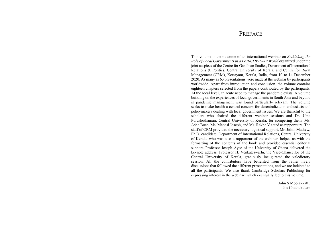## **PREFACE**

This volume is the outcome of an international webinar on *Rethinking the Role of Local Governments in a Post-COVID-19 World* organized under the joint auspices of the Centre for Gandhian Studies, Department of International Relations & Politics, Central University of Kerala, and Centre for Rural Management (CRM), Kottayam, Kerala, India, from 10 to 14 December 2020. As many as 63 presentations were made at the webinar by participants worldwide. Apart from introduction and conclusion, the volume contains eighteen chapters selected from the papers contributed by the participants. At the local level, an acute need to manage the pandemic exists. A volume building on the experiences of local governments in South Asia and beyond in pandemic management was found particularly relevant. The volume seeks to make health a central concern for decentralization enthusiasts and policymakers dealing with local government issues. We are thankful to the scholars who chaired the different webinar sessions and Dr. Uma Purushothaman, Central University of Kerala, for compering them. Ms. Asha Buch, Ms. Manasi Joseph, and Ms. Rekha V acted as rapporteurs. The staff of CRM provided the necessary logistical support. Mr. Jithin Mathew, Ph.D. candidate, Department of International Relations, Central University of Kerala, who was also a rapporteur of the webinar, helped us with the formatting of the contents of the book and provided essential editorial support. Professor Joseph Ayee of the University of Ghana delivered the keynote address. Professor H. Venkateswarlu, the Vice-Chancellor of the Central University of Kerala, graciously inaugurated the valedictory session. All the contributors have benefited from the rather lively discussions that followed the different presentations, and we are indebted to all the participants. We also thank Cambridge Scholars Publishing for expressing interest in the webinar, which eventually led to this volume.

> John S Moolakkattu Jos Chathukulam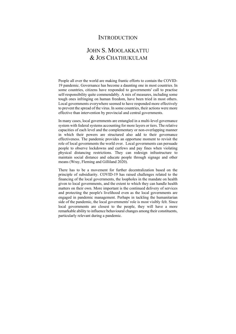## **INTRODUCTION**

# JOHN S. MOOLAKKATTU & JOS CHATHUKULAM

People all over the world are making frantic efforts to contain the COVID-19 pandemic. Governance has become a daunting one in most countries. In some countries, citizens have responded to governments' call to practise self-responsibility quite commendably. A mix of measures, including some tough ones infringing on human freedom, have been tried in most others. Local governments everywhere seemed to have responded more effectively to prevent the spread of the virus. In some countries, their actions were more effective than intervention by provincial and central governments.

In many cases, local governments are entangled in a multi-level governance system with federal systems accounting for more layers or tiers. The relative capacities of each level and the complementary or non-overlapping manner in which their powers are structured also add to their governance effectiveness. The pandemic provides an opportune moment to revisit the role of local governments the world over. Local governments can persuade people to observe lockdowns and curfews and pay fines when violating physical distancing restrictions. They can redesign infrastructure to maintain social distance and educate people through signage and other means (Wray, Fleming and Gilliland 2020).

There has to be a movement for further decentralization based on the principle of subsidiarity. COVID-19 has raised challenges related to the financing of the local governments, the loopholes in the mandate on health given to local governments, and the extent to which they can handle health matters on their own. More important is the continued delivery of services and protecting the people's livelihood even as the local governments are engaged in pandemic management. Perhaps in tackling the humanitarian side of the pandemic, the local governments' role is most visibly felt. Since local governments are closest to the people, they will have a more remarkable ability to influence behavioural changes among their constituents, particularly relevant during a pandemic.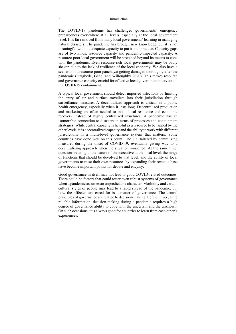#### 2 Introduction

The COVID-19 pandemic has challenged governments' emergency preparedness everywhere at all levels, especially at the local government level. It is far removed from many local governments' learning in managing natural disasters. The pandemic has brought new knowledge, but it is not meaningful without adequate capacity to put it into practice. Capacity gaps are of two kinds: resource capacity and pandemic-impacted capacity. A resource-poor local government will be stretched beyond its means to cope with the pandemic. Even resource-rich local governments may be badly shaken due to the lack of resilience of the local economy. We also have a scenario of a resource-poor panchayat getting damaged thoroughly after the pandemic (Dzigbede, Gehel and Willoughby 2020). This makes resource and governance capacity crucial for effective local government intervention in COVID-19 containment.

A typical local government should detect imported infections by limiting the entry of air and surface travellers into their jurisdiction through surveillance measures. A decentralized approach is critical in a public health emergency, especially when it lasts long. Decentralized production and marketing are often needed to instill local resilience and economic recovery instead of highly centralized structures. A pandemic has an isomorphic connection to disasters in terms of processes and containment strategies. While central capacity is helpful as a resource to be tapped by the other levels, it is decentralized capacity and the ability to work with different jurisdictions in a multi-level governance system that matters. Some countries have done well on this count. The UK faltered by centralizing measures during the onset of COVID-19, eventually giving way to a decentralizing approach when the situation worsened. At the same time, questions relating to the nature of the executive at the local level, the range of functions that should be devolved to that level, and the ability of local governments to raise their own resources by expanding their revenue base have become important points for debate and enquiry.

Good governance in itself may not lead to good COVID-related outcomes. There could be factors that could totter even robust systems of governance when a pandemic assumes an unpredictable character. Morbidity and certain cultural styles of people may lead to a rapid spread of the pandemic, but how the affected are cared for is a matter of governance. The central principles of governance are related to decision-making. Left with very little reliable information, decision-making during a pandemic requires a high degree of governance ability to cope with the uncertain and the unknown. On such occasions, it is always good for countries to learn from each other's experiences.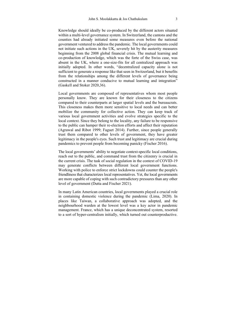Knowledge should ideally be co-produced by the different actors situated within a multi-level governance system. In Switzerland, the cantons and the counties had already initiated some measures even before the national government ventured to address the pandemic. The local governments could not initiate such actions in the UK, severely hit by the austerity measures beginning from the 2008 global financial crisis. The mutual learning and co-production of knowledge, which was the forte of the Swiss case, was absent in the UK, where a one-size-fits for all centralized approach was initially adopted. In other words, "decentralized capacity alone is not sufficient to generate a response like that seen in Switzerland, but it benefits from the relationships among the different levels of governance being constructed in a manner conducive to mutual learning and integration" (Gaskell and Stoker 2020,36).

Local governments are composed of representatives whom most people personally know. They are known for their closeness to the citizens compared to their counterparts at larger spatial levels and the bureaucrats. This closeness makes them more sensitive to local needs and can better mobilize the community for collective action. They can keep track of various local government activities and evolve strategies specific to the local context. Since they belong to the locality, any failure to be responsive to the public can hamper their re-election efforts and affect their reputation (Agrawal and Ribot 1999; Faguet 2014). Further, since people generally trust them compared to other levels of government, they have greater legitimacy in the people's eyes. Such trust and legitimacy are crucial during pandemics to prevent people from becoming panicky (Fischer 2016).

The local governments' ability to negotiate context-specific local conditions, reach out to the public, and command trust from the citizenry is crucial in the current crisis. The task of social regulation in the context of COVID-19 may generate conflicts between different local government functions. Working with police to enforce strict lockdowns could counter the people's friendliness that characterizes local representatives. Yet, the local governments are more capable of coping with such contradictory pressures than any other level of government (Dutta and Fischer 2021).

In many Latin American countries, local governments played a crucial role in containing domestic violence during the pandemic (Lima, 2020). In places like Taiwan, a collaborative approach was adopted, and the neighbourhood warden at the lowest level was a key actor in pandemic management. France, which has a unique deconcentrated system, resorted to a sort of hyper-centralism initially, which turned out counterproductive.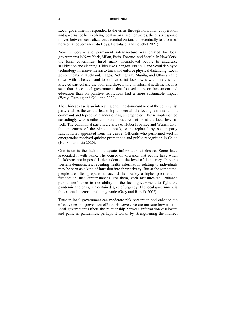### 4 Introduction

Local governments responded to the crisis through horizontal cooperation and governance by involving local actors. In other words, the crisis response moved between centralization, decentralization, and eventually to a form of horizontal governance (du Boys, Bertolucci and Fouchet 2021).

New temporary and permanent infrastructure was created by local governments in New York, Milan, Paris, Toronto, and Seattle. In New York, the local government hired many unemployed people to undertake sanitization and cleaning. Cities like Chengdu, Istanbul, and Seoul deployed technology-intensive means to track and enforce physical distancing. Local governments in Auckland, Lagos, Nottingham, Manila, and Ottawa came down with a heavy hand to enforce strict lockdowns with fines, which affected particularly the poor and those living in informal settlements. It is seen that those local governments that focused more on investment and education than on punitive restrictions had a more sustainable impact (Wray, Fleming and Gilliland 2020).

The Chinese case is an interesting one. The dominant role of the communist party enables the central leadership to steer all the local governments in a command and top-down manner during emergencies. This is implemented cascadingly with similar command structures set up at the local level as well. The communist party secretaries of Hubei Province and Wuhan City, the epicentres of the virus outbreak, were replaced by senior party functionaries appointed from the centre. Officials who performed well in emergencies received quicker promotions and public recognition in China (He, Shi and Liu 2020).

One issue is the lack of adequate information disclosure. Some have associated it with panic. The degree of tolerance that people have when lockdowns are imposed is dependent on the level of democracy. In some western democracies, revealing health information relating to individuals may be seen as a kind of intrusion into their privacy. But at the same time, people are often prepared to accord their safety a higher priority than freedom in such circumstances. For them, such measures will enhance public confidence in the ability of the local government to fight the pandemic and bring in a certain degree of urgency. The local government is thus a crucial actor in reducing panic (Gray and Ropeik 2002).

Trust in local government can moderate risk perception and enhance the effectiveness of prevention efforts. However, we are not sure how trust in local government affects the relationship between information disclosure and panic in pandemics; perhaps it works by strengthening the indirect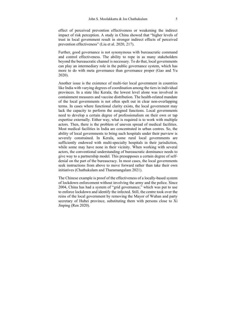effect of perceived prevention effectiveness or weakening the indirect impact of risk perception. A study in China showed that "higher levels of trust in local government result in stronger indirect effects of perceived prevention effectiveness" (Liu et al. 2020, 217).

Further, good governance is not synonymous with bureaucratic command and control effectiveness. The ability to rope in as many stakeholders beyond the bureaucratic channel is necessary. To do that, local governments can play an intermediary role in the public governance system, which has more to do with meta governance than governance proper (Gao and Yu 2020).

Another issue is the existence of multi-tier local government in countries like India with varying degrees of coordination among the tiers in individual provinces. In a state like Kerala, the lowest level alone was involved in containment measures and vaccine distribution. The health-related mandate of the local governments is not often spelt out in clear non-overlapping terms. In cases where functional clarity exists, the local government may lack the capacity to perform the assigned functions. Local governments need to develop a certain degree of professionalism on their own or tap expertise externally. Either way, what is required is to work with multiple actors. Then, there is the problem of uneven spread of medical facilities. Most medical facilities in India are concentrated in urban centres. So, the ability of local governments to bring such hospitals under their purview is severely constrained. In Kerala, some rural local governments are sufficiently endowed with multi-specialty hospitals in their jurisdiction, while some may have none in their vicinity. When working with several actors, the conventional understanding of bureaucratic dominance needs to give way to a partnership model. This presupposes a certain degree of selfdenial on the part of the bureaucracy. In most cases, the local governments seek instructions from above to move forward rather than take their own initiatives (Chathukulam and Tharamangalam 2021).

The Chinese example is proof of the effectiveness of a locally-based system of lockdown enforcement without involving the army and the police. Since 2004, China has had a system of "grid governance," which was put to use to enforce lockdown and identify the infected. Still, the centre took over the reins of the local government by removing the Mayor of Wuhan and party secretary of Hubei province, substituting them with persons close to Xi Jinping (Ren 2020).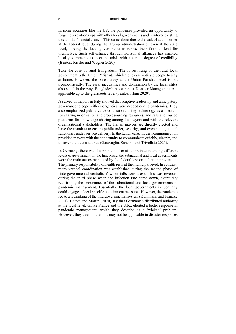### 6 Introduction

In some countries like the US, the pandemic provided an opportunity to forge new relationships with other local governments and reinforce existing ties amid a financial crunch. This came about due to the lack of action either at the federal level during the Trump administration or even at the state level, forcing the local governments to repose their faith to fend for themselves. Such self-reliance through horizontal alliances has enabled local governments to meet the crisis with a certain degree of credibility (Benton, Rissler and Wagner 2020).

Take the case of rural Bangladesh. The lowest rung of the rural local government is the Union Parishad, which alone can motivate people to stay at home. However, the bureaucracy at the Union Parishad level is not people-friendly. The rural inequalities and domination by the local elites also stand in the way. Bangladesh has a robust Disaster Management Act applicable up to the grassroots level (Tarikul Islam 2020).

A survey of mayors in Italy showed that adaptive leadership and anticipatory governance to cope with emergencies were needed during pandemics. They also emphasized public value co-creation, using technology as a medium for sharing information and crowdsourcing resources, and safe and trusted platforms for knowledge sharing among the mayors and with the relevant organizational stakeholders. The Italian mayors are directly elected and have the mandate to ensure public order, security, and even some judicial functions besides service delivery. In the Italian case, modern communication provided mayors with the opportunity to communicate quickly, clearly, and to several citizens at once (Garavaglia, Sancino and Trivellato 2021).

In Germany, there was the problem of crisis coordination among different levels of government. In the first phase, the subnational and local governments were the main actors mandated by the federal law on infection prevention. The primary responsibility of health rests at the municipal level. In contrast, more vertical coordination was established during the second phase of 'intergovernmental centralism' when infections arose. This was reversed during the third phase when the infection rate came down, eventually reaffirming the importance of the subnational and local governments in pandemic management. Essentially, the local governments in Germany could engage in local-specific containment measures. However, the pandemic led to a rethinking of the intergovernmental system (Kuhlmann and Franzke 2021). Hattke and Martin (2020) say that Germany's distributed authority at the local level, unlike France and the U.K., elicited a better response in pandemic management, which they describe as a 'wicked' problem. However, they caution that this may not be applicable in disaster responses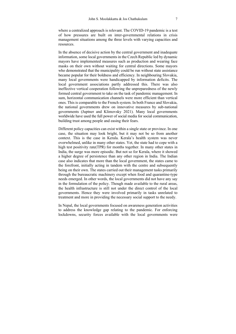where a centralized approach is relevant. The COVID-19 pandemic is a test of how pressures are built on inter-governmental relations in crisis management situations among the three levels with varying capacities and resources.

In the absence of decisive action by the central government and inadequate information, some local governments in the Czech Republic led by dynamic mayors have implemented measures such as production and wearing face masks on their own without waiting for central directions. Some mayors who demonstrated that the municipality could be run without state assistance became popular for their boldness and efficiency. In neighbouring Slovakia, many local governments were handicapped by information deficits. The local government associations partly addressed this. There was also ineffective vertical cooperation following the unpreparedness of the newly formed central government to take on the task of pandemic management. In sum, horizontal communication channels were more efficient than vertical ones. This is comparable to the French system. In both France and Slovakia, the national governments drew on innovative measures by sub-national governments (Juptner and Klimovsky 2021). Many local governments worldwide have used the full power of social media for social communication, building trust among people and easing their fears.

Different policy capacities can exist within a single state or province. In one case, the situation may look bright, but it may not be so from another context. This is the case in Kerala. Kerala's health system was never overwhelmed, unlike in many other states. Yet, the state had to cope with a high test positivity rate(TPR) for months together. In many other states in India, the surge was more episodic. But not so for Kerala, where it showed a higher degree of persistence than any other region in India. The Indian case also indicates that more than the local government, the states came to the forefront, initially acting in tandem with the centre and subsequently being on their own. The states carried out their management tasks primarily through the bureaucratic machinery except when food and quarantine-type needs emerged. In other words, the local governments did not have any say in the formulation of the policy. Though made available to the rural areas, the health infrastructure is still not under the direct control of the local governments. Hence they were involved primarily in tasks unrelated to treatment and more in providing the necessary social support to the needy.

In Nepal, the local governments focused on awareness generation activities to address the knowledge gap relating to the pandemic. For enforcing lockdowns, security forces available with the local governments were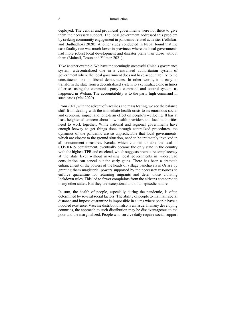#### 8 Introduction

deployed. The central and provincial governments were not there to give them the necessary support. The local government addressed this problem by seeking community engagement in pandemic-related activities (Adhikari and Budhadhoki 2020). Another study conducted in Nepal found that the case fatality rate was much lower in provinces where the local governments had more robust local development and disaster plans than those without them (Mainali, Tosun and Yilmaz 2021).

Take another example. We have the seemingly successful China's governance system, a decentralized one in a centralized authoritarian system of government where the local government does not have accountability to the constituents like in liberal democracies. In other words, it is easy to transform the state from a decentralized system to a centralized one in times of crises using the communist party's command and control system, as happened in Wuhan. The accountability is to the party high command in such cases (Mei 2020).

From 2021, with the advent of vaccines and mass testing, we see the balance shift from dealing with the immediate health crisis to its enormous social and economic impact and long-term effect on people's wellbeing. It has at least heightened concern about how health providers and local authorities need to work together. While national and regional governments have enough leeway to get things done through centralized procedures, the dynamics of the pandemic are so unpredictable that local governments, which are closest to the ground situation, need to be intimately involved in all containment measures. Kerala, which claimed to take the lead in COVID-19 containment, eventually became the only state in the country with the highest TPR and caseload, which suggests premature complacency at the state level without involving local governments in widespread consultation can cancel out the early gains. There has been a dramatic enhancement of the powers of the heads of village panchayats in Orissa by granting them magisterial powers supported by the necessary resources to enforce quarantine for returning migrants and deter those violating lockdown rules. This led to fewer complaints from the citizens compared to many other states. But they are exceptional and of an episodic nature.

In sum, the health of people, especially during the pandemic, is often determined by several social factors. The ability of people to maintain social distance and impose quarantine is impossible in slums where people have a huddled existence. Vaccine distribution also is an issue. In many developing countries, the approach to such distribution may be disadvantageous to the poor and the marginalized. People who survive daily require social support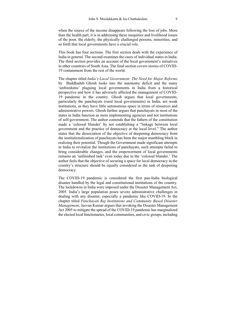when the source of the income disappears following the loss of jobs. More than the health part, it is in addressing these inequities and livelihood issues of the poor, the elderly, the physically challenged persons, minorities, and so forth that local governments have a crucial role.

This book has four sections. The first section deals with the experience of India in general. The second examines the cases of individual states in India. The third section provides an account of the local government's initiatives in other countries of South Asia. The final section covers stories of COVID-19 containment from the rest of the world.

The chapter titled *India's Local Government: The Need for Major Reforms* by Buddhadeb Ghosh looks into the autonomy deficit and the many 'unfreedoms' plaguing local governments in India from a historical perspective and how it has adversely affected the management of COVID-19 pandemic in the country. Ghosh argues that local governments, particularly the panchayats (rural local governments) in India, are weak institutions, as they have little autonomous space in terms of resources and administrative powers. Ghosh further argues that panchayats in most of the states in India function as mere implementing agencies and not institutions of self-government. The author contends that the fathers of the constitution made a 'colossal blunder' by not establishing a "linkage between local government and the practice of democracy at the local level." The author states that the dissociation of the objective of deepening democracy from the institutionalization of panchayats has been the major stumbling block in realizing their potential. Though the Government made significant attempts in India to revitalize the institutions of panchayats, such attempts failed to bring considerable changes, and the empowerment of local governments remains an 'unfinished task' even today due to the 'colossal blunder.' The author feels that the objective of securing a space for local democracy in the country's structure should be equally considered as the task of deepening democracy.

The COVID-19 pandemic is considered the first pan-India biological disaster handled by the legal and constitutional institutions of the country. The lockdowns in India were imposed under the Disaster Management Act, 2005. India's large population poses severe administrative challenges in dealing with any disaster, especially a pandemic like COVID-19. In the chapter titled *Panchayati Raj Institutions and Community Based Disaster Management*, Jeevan Kumar argues that invoking the Disaster Management Act 2005 to mitigate the spread of the COVID-19 pandemic has marginalized the elected local functionaries, local communities, and civic groups, including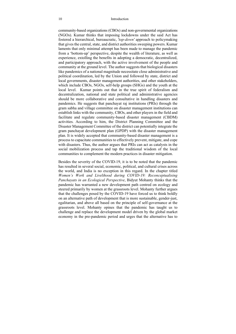community-based organizations (CBOs) and non-governmental organizations (NGOs). Kumar thinks that imposing lockdowns under the said Act has fostered a hierarchical, bureaucratic, *'top-down'* approach to policymaking that gives the central, state, and district authorities sweeping powers. Kumar laments that only minimal attempt has been made to manage the pandemic from a 'bottom-up' perspective, despite the wealth of literature, as well as experience, extolling the benefits in adopting a democratic, decentralized, and participatory approach, with the active involvement of the people and community at the ground level. The author suggests that biological disasters like pandemics of a national magnitude necessitate close administrative and political coordination, led by the Union and followed by state, district and local governments, disaster management authorities, and other stakeholders, which include CBOs, NGOs, self-help groups (SHGs) and the youth at the local level. Kumar points out that in the true spirit of federalism and decentralization, national and state political and administrative agencies should be more collaborative and consultative in handling disasters and pandemics. He suggests that panchayat raj institutions (PRIs) through the gram sabha and village committee on disaster management institutions can establish links with the community, CBOs, and other players in the field and facilitate and regulate community-based disaster management (CBDM) activities. According to him, the District Planning Committee and the Disaster Management Committee of the district can potentially integrate the gram panchayat development plan (GPDP) with the disaster management plan. It is widely accepted that community-based disaster management is a process to capacitate communities to effectively prevent, mitigate, and cope with disasters. Thus, the author argues that PRIs can act as catalysts in the social mobilization process and tap the traditional wisdom of the local communities to complement the modern practices in disaster mitigation.

Besides the severity of the COVID-19, it is to be noted that the pandemic has resulted in several social, economic, political, and cultural crises across the world, and India is no exception in this regard. In the chapter titled *Women's Work and Livelihood during COVID-19: Reconceptualising Panchayats in an Ecological Perspective*, Bidyut Mohanty thinks that the pandemic has warranted a new development path centred on ecology and steered primarily by women at the grassroots level. Mohanty further argues that the challenges posed by the COVID-19 have forced us to think boldly on an alternative path of development that is more sustainable, gender-just, egalitarian, and above all based on the principle of self-governance at the grassroots level. Mohanty opines that the pandemic has taught us to challenge and replace the development model driven by the global market economy in the pre-pandemic period and urges that the alternative has to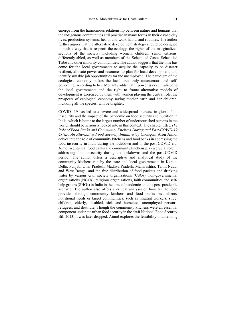emerge from the harmonious relationship between nature and humans that the indigenous communities still practise in many forms in their day-to-day lives, production systems, health and work habits and routines. The author further argues that the alternative development strategy should be designed in such a way that it respects the ecology, the rights of the marginalized sections of the society, including women, children, senior citizens, differently-abled, as well as members of the Scheduled Caste, Scheduled Tribe and other minority communities. The author suggests that the time has come for the local governments to acquire the capacity to be disaster resilient, allocate power and resources to plan for local development, and identify suitable job opportunities for the unemployed. The paradigm of the ecological economy makes the local area truly autonomous and selfgoverning, according to her. Mohanty adds that if power is decentralized to the local governments and the right to frame alternative models of development is exercised by them with women playing the central role, the prospects of ecological economy saving mother earth and her children, including all the species, will be brighter.

COVID- 19 has led to a severe and widespread increase in global food insecurity and the impact of the pandemic on food security and nutrition in India, which is home to the largest number of undernourished persons in the world, should be seriously looked into in this context. The chapter titled *The Role of Food Banks and Community Kitchens During and Post-COVID-19 Crisis: An Alternative Food Security Initiative* by Chongom Aron Aimol delves into the role of community kitchens and food banks in addressing the food insecurity in India during the lockdown and in the post-COVID era. Aimol argues that food banks and community kitchens play a crucial role in addressing food insecurity during the lockdowns and the post-COVID period. The author offers a descriptive and analytical study of the community kitchens run by the state and local governments in Kerala, Delhi, Punjab, Uttar Pradesh, Madhya Pradesh, Maharashtra, Tamil Nadu, and West Bengal and the free distribution of food packets and drinking water by various civil society organizations (CSOs), non-governmental organizations (NGOs), religious organizations, faith communities and selfhelp groups (SHGs) in India in the time of pandemic and the post-pandemic scenario. The author also offers a critical analysis on how far the food provided through community kitchens and food banks met clients' nutritional needs or target communities, such as migrant workers, street children, elderly, disabled, sick and homeless, unemployed persons, refugees, and destitute. Though the community kitchens were an essential component under the urban food security in the draft National Food Security Bill 2013, it was later dropped. Aimol explores the feasibility of amending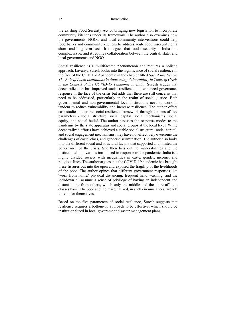the existing Food Security Act or bringing new legislation to incorporate community kitchens under its framework. The author also examines how the governments, NGOs, and local community interventions could help food banks and community kitchens to address acute food insecurity on a short- and long-term basis. It is argued that food insecurity in India is a complex issue, and it requires collaboration between the central, state, and local governments and NGOs.

Social resilience is a multifaceted phenomenon and requires a holistic approach. Lavanya Suresh looks into the significance of social resilience in the face of the COVID-19 pandemic in the chapter titled *Social Resilience: The Role of Local Institutions in Addressing Vulnerability in Times of Crisis in the Context of the COVID-19 Pandemic in India*. Suresh argues that decentralization has improved social resilience and enhanced governance response in the face of the crisis but adds that there are still concerns that need to be addressed, particularly in the realm of social justice. Both governmental and non-governmental local institutions need to work in tandem to reduce vulnerability and increase resilience. The author offers case studies under the social resilience framework through the lens of five parameters - social structure, social capital, social mechanisms, social equity, and social belief. The author assesses the response modes to the pandemic by the state apparatus and social groups at the local level. While decentralized efforts have achieved a stable social structure, social capital, and social engagement mechanisms, they have not effectively overcome the challenges of caste, class, and gender discrimination. The author also looks into the different social and structural factors that supported and limited the governance of the crisis. She then lists out the vulnerabilities and the institutional innovations introduced in response to the pandemic. India is a highly divided society with inequalities in caste, gender, income, and religious lines. The author argues that the COVID-19 pandemic has brought these fissures out into the open and exposed the fragility of the livelihoods of the poor. The author opines that different government responses like 'work from home,' physical distancing, frequent hand washing, and the lockdown all assume a sense of privilege of having an independent and distant home from others, which only the middle and the more affluent classes have. The poor and the marginalized, in such circumstances, are left to fend for themselves.

Based on the five parameters of social resilience, Suresh suggests that resilience requires a bottom-up approach to be effective, which should be institutionalized in local government disaster management plans.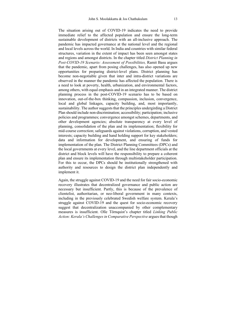The situation arising out of COVID-19 indicates the need to provide immediate relief to the affected population and ensure the long-term sustainable development of districts with an all-inclusive approach. The pandemic has impacted governance at the national level and the regional and local levels across the world. In India and countries with similar federal structures, variation in the extent of impact has been seen amongst states and regions and amongst districts. In the chapter titled *District Planning in Post-COVID-19 Scenario: Assessment of Possibilities,* Ramit Basu argues that the pandemic, apart from posing challenges, has also opened up new opportunities for preparing district-level plans. District planning has become non-negotiable given that inter and intra-district variations are observed in the manner the pandemic has affected the population. There is a need to look at poverty, health, urbanization, and environmental factors, among others, with equal emphasis and in an integrated manner. The district planning process in the post-COVID-19 scenario has to be based on innovation, out-of-the-box thinking, compassion, inclusion, convergence, local and global linkages, capacity building, and, most importantly, sustainability. The author suggests that the principles undergirding a District Plan should include non-discrimination; accessibility; participation; inclusive policies and programmes; convergence amongst schemes, departments, and other development agencies; absolute transparency at every level of planning, consolidation of the plan and its implementation; flexibility for mid-course correction; safeguards against violations, corruption, and vested interests; capacity building and hand holding support for key stakeholders; data and information for development, and ensuring of funds for implementation of the plan. The District Planning Committees (DPCs) and the local governments at every level, and the line department officials at the district and block levels will have the responsibility to prepare a coherent plan and ensure its implementation through multistakeholder participation. For this to occur, the DPCs should be institutionally strengthened with authority and resources to design the district plan independently and implement it.

Again, the struggle against COVID-19 and the need for fair socio-economic recovery illustrates that decentralized governance and public action are necessary but insufficient. Partly, this is because of the prevalence of clientelist, authoritarian, or neo-liberal government in many contexts, including in the previously celebrated Swedish welfare system. Kerala's struggle against COVID-19 and the quest for socio-economic recovery suggest that decentralization unaccompanied by other complementary measures is insufficient. Olle Törnquist's chapter titled *Linking Public Action: Kerala's Challenges in Comparative Perspective* argues that though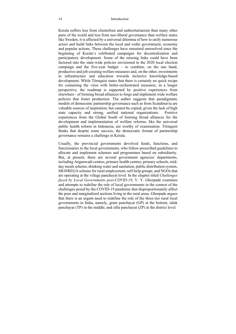Kerala suffers less from clientelism and authoritarianism than many other parts of the world and less from neo-liberal governance than welfare states like Sweden, it is affected by a universal dilemma of how to unify numerous actors and build links between the local and wider government, economy and popular actions. These challenges have remained unresolved since the beginning of Kerala's celebrated campaigns for decentralization and participatory development. Some of the missing links could have been factored into the state-wide policies envisioned in the 2020 local election campaign and the five-year budget – to combine, on the one hand, productive and job-creating welfare measures and, on the other, investments in infrastructure and education towards inclusive knowledge-based development. While Törnquist states that there is certainly no quick recipe for containing the virus with better-orchestrated measures, in a longer perspective, the roadmap is supported by positive experiences from elsewhere - of forming broad alliances to forge and implement wide welfare policies that foster production. The author suggests that paradigmatic models of democratic partnership governance such as from Scandinavia are valuable sources of inspiration, but cannot be copied, given the lack of high state capacity and strong, unified national organizations. Positive experiences from the Global South of forming broad alliances for the development and implementation of welfare reforms, like the universal public health reform in Indonesia, are worthy of examination. Törnquist thinks that despite some success, the democratic format of partnership governance remains a challenge in Kerala.

Usually, the provincial governments devolved funds, functions, and functionaries to the local governments, who follow prescribed guidelines to allocate and implement schemes and programmes based on subsidiarity. But, at present, there are several government agencies/ departments, including Anganwadi centres, primary health centres, primary schools, midday meals scheme, drinking water and sanitation, public distribution system, MGNREGA scheme for rural employment, self-help groups, and NGOs that are operating at the village panchayat level. In the chapter titled *Challenges faced by Local Governments post-COVID-19*, V. Y. Ghorpade examines and attempts to redefine the role of local governments in the context of the challenges posed by the COVID-19 pandemic that disproportionately affect the poor and marginalized sections living in the rural areas. Ghorpade argues that there is an urgent need to redefine the role of the three-tier rural local governments in India, namely, gram panchayat (GP) at the bottom, taluk panchayat (TP) in the middle, and zilla panchayat (ZP) at the district level.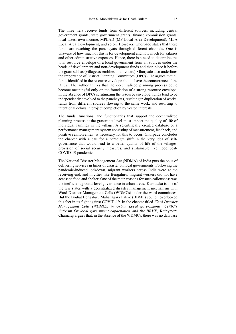The three tiers receive funds from different sources, including central government grants, state government grants, finance commission grants, local taxes, own income, MPLAD (MP Local Area Development), MLA Local Area Development, and so on. However, Ghorpade states that these funds are reaching the panchayats through different channels. One is unaware of how much of this is for development and how much for salaries and other administrative expenses. Hence, there is a need to determine the total resource envelope of a local government from all sources under the heads of development and non-development funds and then place it before the gram sabhas (village assemblies of all voters). Ghorpade also underlines the importance of District Planning Committees (DPCs). He argues that all funds identified in the resource envelope should have the concurrence of the DPCs. The author thinks that the decentralized planning process could become meaningful only on the foundation of a strong resource envelope. In the absence of DPCs scrutinizing the resource envelope, funds tend to be independently devolved to the panchayats, resulting in duplication of works, funds from different sources flowing to the same work, and resorting to intentional delays in project completion by vested interests.

The funds, functions, and functionaries that support the decentralized planning process at the grassroots level must impact the quality of life of individual families in the village. A scientifically created database or a performance management system consisting of measurement, feedback, and positive reinforcement is necessary for this to occur. Ghorpade concludes the chapter with a call for a paradigm shift in the very idea of selfgovernance that would lead to a better quality of life of the villages, provision of social security measures, and sustainable livelihood post-COVID-19 pandemic.

The National Disaster Management Act (NDMA) of India puts the onus of delivering services in times of disaster on local governments. Following the pandemic-induced lockdown, migrant workers across India were at the receiving end, and in cities like Bengaluru, migrant workers did not have access to food and shelter. One of the main reasons for such callousness was the inefficient ground-level governance in urban areas. Karnataka is one of the few states with a decentralized disaster management mechanism with Ward Disaster Management Cells (WDMCs) under the ward committees. But the Bruhat Bengaluru Mahanagara Palike (BBMP) council overlooked this fact in its fight against COVID-19. In the chapter titled *Ward Disaster Management Cells (WDMCs) in Urban Local governments: CIVIC's Activism for local government capacitation and the BBMP*, Kathyayini Chamaraj argues that, in the absence of the WDMCs, there was no database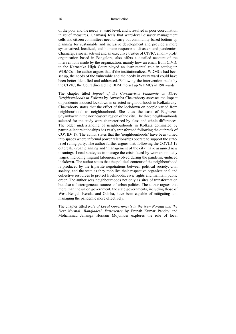of the poor and the needy at ward level, and it resulted in poor coordination in relief measures. Chamaraj feels that ward-level disaster management cells and citizen committees need to carry out community-based bottom-up planning for sustainable and inclusive development and provide a more systematized, localized, and humane response to disasters and pandemics. Chamaraj, a social activist and an executive trustee of CIVIC, a non - profit organization based in Bangalore, also offers a detailed account of the interventions made by the organization, mainly how an email from CIVIC to the Karnataka High Court played an instrumental role in setting up WDMCs. The author argues that if the institutionalized WDMCs had been set up, the needs of the vulnerable and the needy in every ward could have been better identified and addressed. Following the intervention made by the CIVIC, the Court directed the BBMP to set up WDMCs in 198 wards.

The chapter titled *Impact of the Coronavirus Pandemic on Three Neighbourhoods in Kolkata* by Anwesha Chakraborty assesses the impact of pandemic-induced lockdown in selected neighbourhoods in Kolkata city. Chakraborty states that the effect of the lockdown on people varied from neighbourhood to neighbourhood. She cites the case of Bagbazar-Shyambazar in the northeastern region of the city. The three neighbourhoods selected for the study were characterized by class and ethnic differences. The older understanding of neighbourhoods in Kolkata dominated by patron-client relationships has vastly transformed following the outbreak of COVID- 19. The author states that the 'neighbourhoods' have been turned into spaces where informal power relationships operate to support the statelevel ruling party. The author further argues that, following the COVID-19 outbreak, urban planning and 'management of the city' have assumed new meanings. Local strategies to manage the crisis faced by workers on daily wages, including migrant labourers, evolved during the pandemic-induced lockdown. The author states that the political contour of the neighbourhood is produced by the tripartite negotiations between political society, civil society, and the state as they mobilize their respective organizational and collective resources to protect livelihoods, civic rights and maintain public order. The author sees neighbourhoods not only as sites of transformation but also as heterogeneous sources of urban politics. The author argues that more than the union government, the state governments, including those of West Bengal, Kerala, and Odisha, have been capable of mitigating and managing the pandemic more effectively.

The chapter titled *Role of Local Governments in the New Normal and the Next Normal: Bangladesh Experience* by Pranab Kumar Panday and Mohammad Jahangir Hossain Mojumder explores the role of local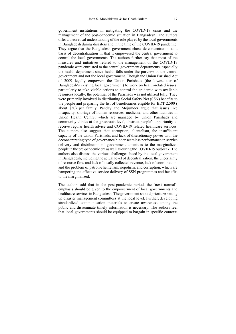government institutions in mitigating the COVID-19 crisis and the management of the post-pandemic situation in Bangladesh. The authors offer a theoretical understanding of the role played by the local governments in Bangladesh during disasters and in the time of the COVID-19 pandemic. They argue that the Bangladesh government chose de-concentration as a basis of decentralization in that it empowered the central government to control the local governments. The authors further say that most of the measures and initiatives related to the management of the COVID-19 pandemic were entrusted to the central government departments, especially the health department since health falls under the purview of the central government and not the local government. Though the Union Parishad Act of 2009 legally empowers the Union Parishads (the lowest tier of Bangladesh's existing local government) to work on health-related issues, particularly to take visible actions to control the epidemic with available resources locally, the potential of the Parishads was not utilized fully. They were primarily involved in distributing Social Safety Net (SSN) benefits to the people and preparing the list of beneficiaries eligible for BDT 2,500 ( about \$30) per family. Panday and Mojumder argue that issues like incapacity, shortage of human resources, medicine, and other facilities in Union Health Centre, which are managed by Union Parishads and community clinics at the grassroots level, obstruct people's opportunity to receive regular health advice and COVID-19 related healthcare services. The authors also suggest that corruption, clientelism, the insufficient capacity of the Union Parishads, and lack of discretionary power with the deconcentrating type of governance hinder seamless performance in service delivery and distribution of government amenities to the marginalized people in the pre-pandemic era as well as during the COVID-19 outbreak. The authors also discuss the various challenges faced by the local government in Bangladesh, including the actual level of decentralization, the uncertainty of resource flow and lack of locally collected revenue, lack of coordination, and the problem of patron-clientelism, nepotism, and corruption, which are hampering the effective service delivery of SSN programmes and benefits to the marginalized.

The authors add that in the post-pandemic period, the 'next normal', emphasis should be given to the empowerment of local governments and healthcare services in Bangladesh. The government should prioritize setting up disaster management committees at the local level. Further, developing standardized communication materials to create awareness among the public and disseminate timely information is necessary. The authors feel that local governments should be equipped to bargain in specific contexts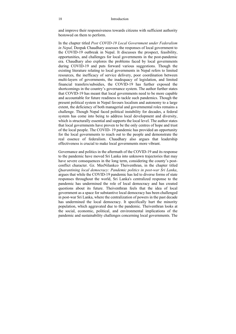and improve their responsiveness towards citizens with sufficient authority bestowed on them to perform.

In the chapter titled *Post COVID-19 Local Government under Federalism in Nepal,* Deepak Chaudhary assesses the responses of local government to the COVID-19 outbreak in Nepal. It discusses the prospect, feasibility, opportunities, and challenges for local governments in the post-pandemic era. Chaudhary also explores the problems faced by local governments during COVID-19 and puts forward various suggestions. Though the existing literature relating to local governments in Nepal refers to limited resources, the inefficacy of service delivery, poor coordination between multi-layers of governments, the inadequacy of legislation, and limited financial transfers/subsidies, the COVID-19 has further exposed the shortcomings in the country's governance system. The author further states that COVID-19 has meant that local governments need to be more capable and accountable for future readiness to tackle such pandemics. Though the present political system in Nepal favours localism and autonomy to a large extent, the deficiency of both managerial and governmental roles remains a challenge. Though Nepal faced political instability for decades, a federal system has come into being to address local development and diversity, which is structurally essential and supports the local level. The author states that local governments have proven to be the only centres of hope and trust of the local people. The COVID- 19 pandemic has provided an opportunity for the local governments to reach out to the people and demonstrate the real essence of federalism. Chaudhary also argues that leadership effectiveness is crucial to make local governments more vibrant.

Governance and politics in the aftermath of the COVID-19 and its response to the pandemic have moved Sri Lanka into unknown trajectories that may have severe consequences in the long term, considering the county's postconflict character. Gz. MeeNilankco Theiventhran, in the chapter titled *Quarantining local democracy: Pandemic politics in post-war Sri Lanka*, argues that while the COVID-19 pandemic has led to diverse forms of state responses throughout the world, Sri Lanka's centralized response to the pandemic has undermined the role of local democracy and has created questions about its future. Theiventhran feels that the idea of local government as a space for substantive local democracy has been challenged in post-war Sri Lanka, where the centralization of powers in the past decade has undermined the local democracy. It specifically hurt the minority population, which aggravated due to the pandemic. Theiventhran looks at the social, economic, political, and environmental implications of the pandemic and sustainability challenges concerning local governments. The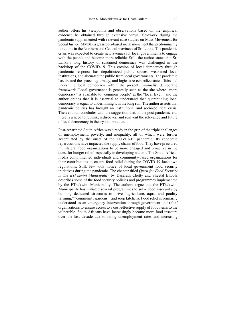author offers his viewpoints and observations based on the empirical evidence he obtained through extensive virtual fieldwork during the pandemic supplemented with relevant case studies on Mass Movement for Social Justice (MMSJ), a grassroots-based social movement that predominantly functions in the Northern and Central provinces of Sri Lanka. The pandemic crisis was expected to create new avenues for local governments to engage with the people and become more reliable. Still, the author states that Sri Lanka's long history of sustained democracy was challenged in the backdrop of the COVID-19. This erosion of local democracy through pandemic response has depoliticized public spaces, weakened local institutions, and alienated the public from local governments. The pandemic has created the space, legitimacy, and logic to re-centralize state affairs and undermine local democracy within the present minimalist democratic framework. Local governance is generally seen as the site where "more democracy" is available to "common people" at the "local level," and the author opines that it is essential to understand that quarantining local democracy is equal to undermining it in the long run. The author asserts that pandemic politics has brought an institutional and socio-political crisis. Theiventhran concludes with the suggestion that, in the post-pandemic era, there is a need to rethink, rediscover, and reinvent the relevance and future of local democracy in theory and practice.

Post-Apartheid South Africa was already in the grip of the triple challenges of unemployment, poverty, and inequality, all of which were further accentuated by the onset of the COVID-19 pandemic. Its economic repercussions have impacted the supply chains of food. They have pressured multilateral food organizations to be more engaged and proactive in the quest for hunger relief, especially in developing nations. The South African media complimented individuals and community-based organizations for their contributions to ensure food relief during the COVID-19 lockdown regulations. Still, few took notice of local government food security initiatives during the pandemic. The chapter titled *Quest for Food Security in the EThekwini Municipality* by Dasarath Chetty and Sheetal Bhoola describes some of the food security policies and programmes implemented by the EThekwini Municipality. The authors argue that the EThekwini Municipality has initiated several programmes to solve food insecurity by building dedicated structures to drive "agriculture, aqua, and poultry farming," "community gardens," and soup kitchens. Food relief is primarily understood as an emergency intervention through government and relief organizations to ensure access to a cost-effective supply of food items to the vulnerable. South Africans have increasingly become more food insecure over the last decade due to rising unemployment rates and increasing